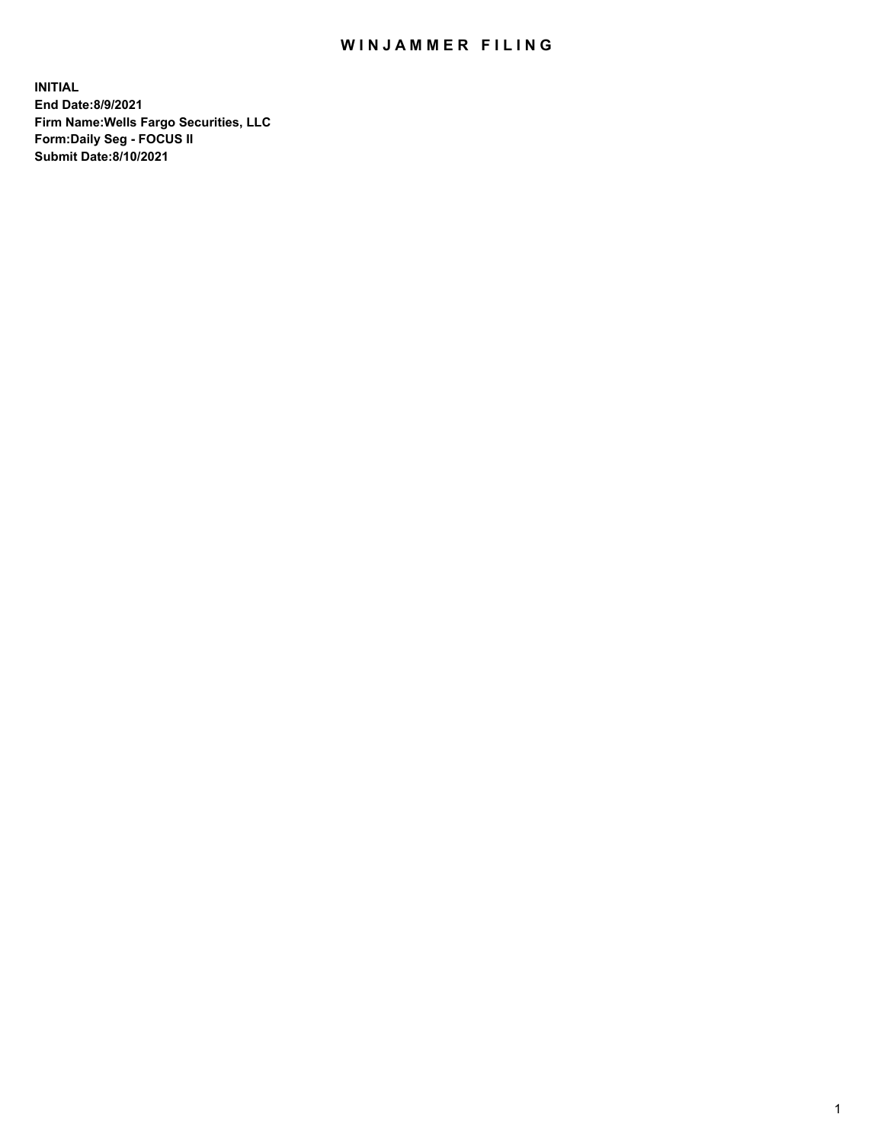## WIN JAMMER FILING

**INITIAL End Date:8/9/2021 Firm Name:Wells Fargo Securities, LLC Form:Daily Seg - FOCUS II Submit Date:8/10/2021**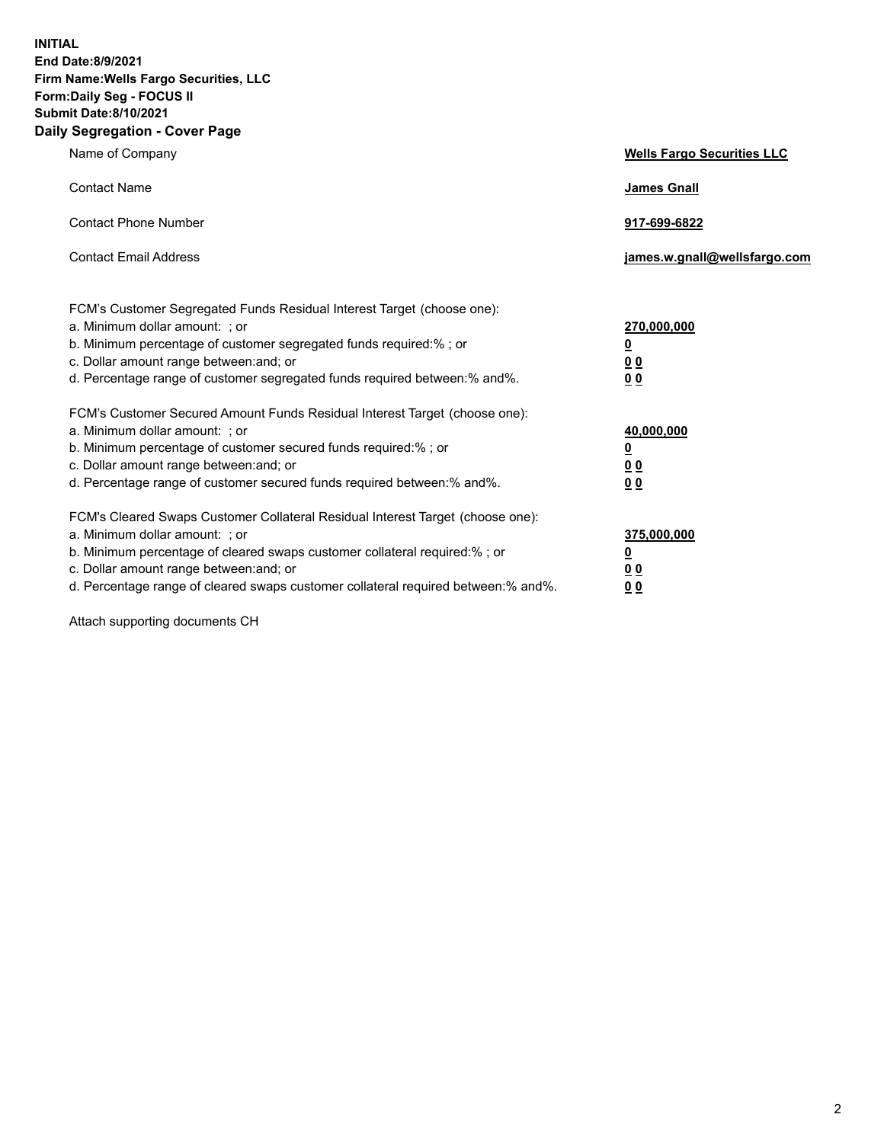**INITIAL End Date:8/9/2021 Firm Name:Wells Fargo Securities, LLC Form:Daily Seg - FOCUS II Submit Date:8/10/2021 Daily Segregation - Cover Page**

| Name of Company                                                                                                                                                                                                                                                                                                                | <b>Wells Fargo Securities LLC</b>                                         |
|--------------------------------------------------------------------------------------------------------------------------------------------------------------------------------------------------------------------------------------------------------------------------------------------------------------------------------|---------------------------------------------------------------------------|
| <b>Contact Name</b>                                                                                                                                                                                                                                                                                                            | <b>James Gnall</b>                                                        |
| <b>Contact Phone Number</b>                                                                                                                                                                                                                                                                                                    | 917-699-6822                                                              |
| <b>Contact Email Address</b>                                                                                                                                                                                                                                                                                                   | james.w.gnall@wellsfargo.com                                              |
| FCM's Customer Segregated Funds Residual Interest Target (choose one):<br>a. Minimum dollar amount: ; or<br>b. Minimum percentage of customer segregated funds required:% ; or<br>c. Dollar amount range between: and; or<br>d. Percentage range of customer segregated funds required between:% and%.                         | 270,000,000<br>$\overline{\mathbf{0}}$<br>0 <sub>0</sub><br>00            |
| FCM's Customer Secured Amount Funds Residual Interest Target (choose one):<br>a. Minimum dollar amount: ; or<br>b. Minimum percentage of customer secured funds required:%; or<br>c. Dollar amount range between: and; or<br>d. Percentage range of customer secured funds required between:% and%.                            | 40,000,000<br>$\overline{\mathbf{0}}$<br>0 <sub>0</sub><br>0 <sub>0</sub> |
| FCM's Cleared Swaps Customer Collateral Residual Interest Target (choose one):<br>a. Minimum dollar amount: ; or<br>b. Minimum percentage of cleared swaps customer collateral required:% ; or<br>c. Dollar amount range between: and; or<br>d. Percentage range of cleared swaps customer collateral required between:% and%. | 375,000,000<br><u>0</u><br>00<br>00                                       |

Attach supporting documents CH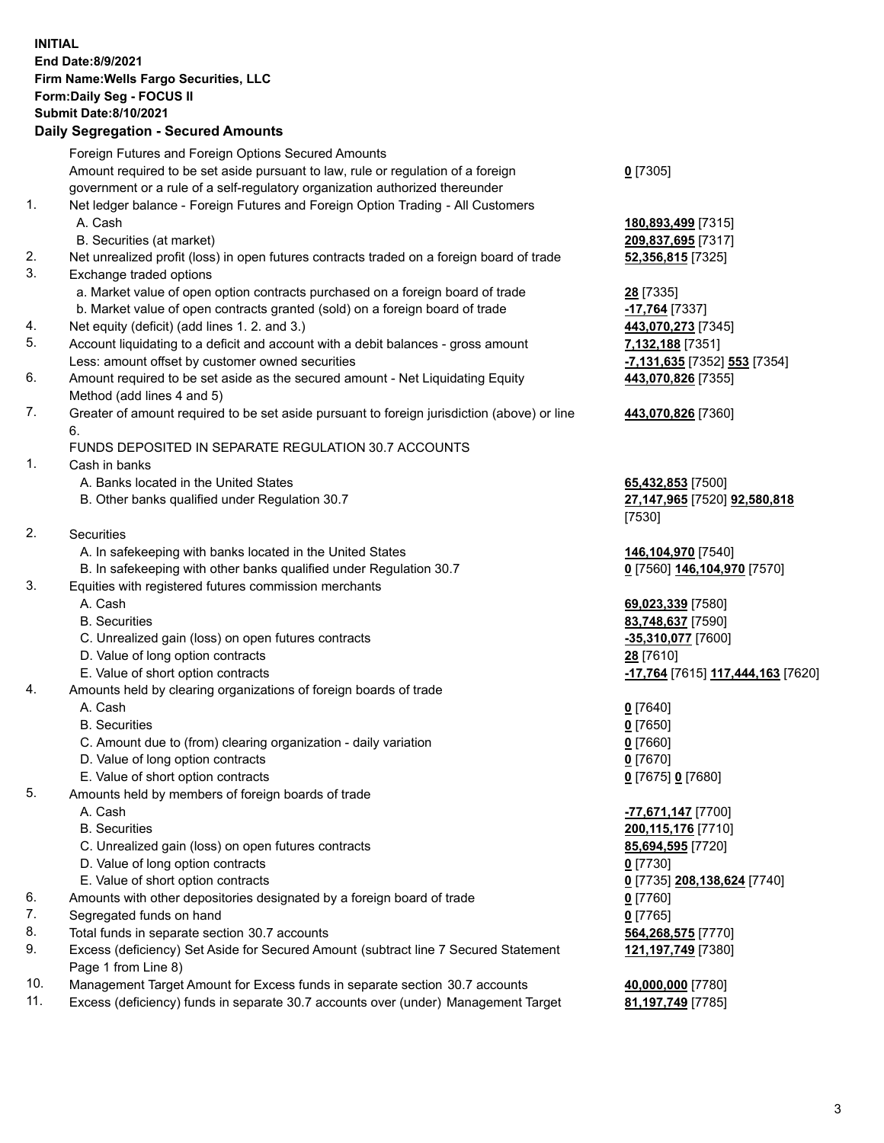**INITIAL End Date:8/9/2021 Firm Name:Wells Fargo Securities, LLC Form:Daily Seg - FOCUS II Submit Date:8/10/2021 Daily Segregation - Secured Amounts**

Foreign Futures and Foreign Options Secured Amounts Amount required to be set aside pursuant to law, rule or regulation of a foreign government or a rule of a self-regulatory organization authorized thereunder **0** [7305] 1. Net ledger balance - Foreign Futures and Foreign Option Trading - All Customers A. Cash **180,893,499** [7315] B. Securities (at market) **209,837,695** [7317] 2. Net unrealized profit (loss) in open futures contracts traded on a foreign board of trade **52,356,815** [7325] 3. Exchange traded options a. Market value of open option contracts purchased on a foreign board of trade **28** [7335] b. Market value of open contracts granted (sold) on a foreign board of trade **-17,764** [7337] 4. Net equity (deficit) (add lines 1. 2. and 3.) **443,070,273** [7345] 5. Account liquidating to a deficit and account with a debit balances - gross amount **7,132,188** [7351] Less: amount offset by customer owned securities **-7,131,635** [7352] **553** [7354] 6. Amount required to be set aside as the secured amount - Net Liquidating Equity Method (add lines 4 and 5) **443,070,826** [7355] 7. Greater of amount required to be set aside pursuant to foreign jurisdiction (above) or line 6. **443,070,826** [7360] FUNDS DEPOSITED IN SEPARATE REGULATION 30.7 ACCOUNTS 1. Cash in banks A. Banks located in the United States **65,432,853** [7500] B. Other banks qualified under Regulation 30.7 **27,147,965** [7520] **92,580,818** [7530] 2. Securities A. In safekeeping with banks located in the United States **146,104,970** [7540] B. In safekeeping with other banks qualified under Regulation 30.7 **0** [7560] **146,104,970** [7570] 3. Equities with registered futures commission merchants A. Cash **69,023,339** [7580] B. Securities **83,748,637** [7590] C. Unrealized gain (loss) on open futures contracts **-35,310,077** [7600] D. Value of long option contracts **28** [7610] E. Value of short option contracts **-17,764** [7615] **117,444,163** [7620] 4. Amounts held by clearing organizations of foreign boards of trade A. Cash **0** [7640] B. Securities **0** [7650] C. Amount due to (from) clearing organization - daily variation **0** [7660] D. Value of long option contracts **0** [7670] E. Value of short option contracts **0** [7675] **0** [7680] 5. Amounts held by members of foreign boards of trade A. Cash **-77,671,147** [7700] B. Securities **200,115,176** [7710] C. Unrealized gain (loss) on open futures contracts **85,694,595** [7720] D. Value of long option contracts **0** [7730] E. Value of short option contracts **0** [7735] **208,138,624** [7740] 6. Amounts with other depositories designated by a foreign board of trade **0** [7760] 7. Segregated funds on hand **0** [7765] 8. Total funds in separate section 30.7 accounts **564,268,575** [7770] 9. Excess (deficiency) Set Aside for Secured Amount (subtract line 7 Secured Statement Page 1 from Line 8) **121,197,749** [7380] 10. Management Target Amount for Excess funds in separate section 30.7 accounts **40,000,000** [7780]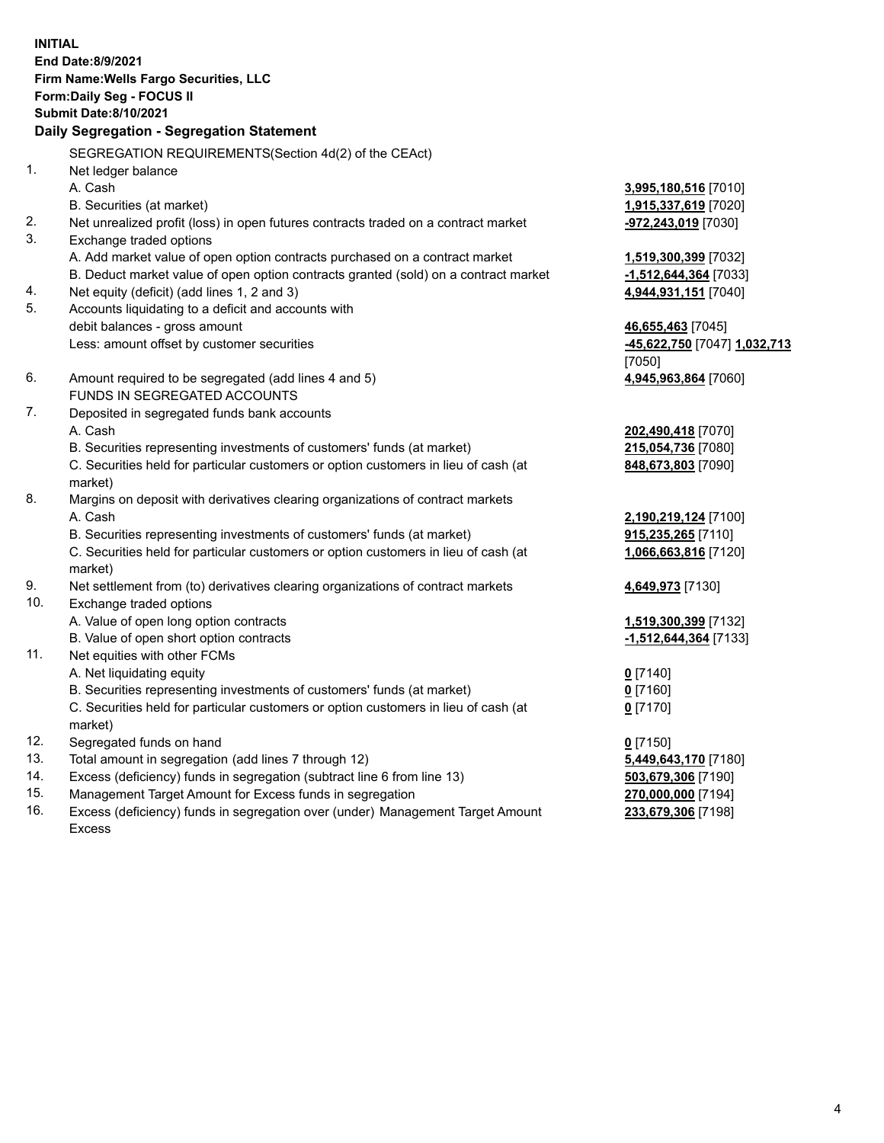**INITIAL End Date:8/9/2021 Firm Name:Wells Fargo Securities, LLC Form:Daily Seg - FOCUS II Submit Date:8/10/2021**

## **Daily Segregation - Segregation Statement**

SEGREGATION REQUIREMENTS(Section 4d(2) of the CEAct)

|     | OLONLOATION INLQUINLIVILIVI O(OCCIDII 40(Z) OI THE OLACI)                           |                              |
|-----|-------------------------------------------------------------------------------------|------------------------------|
| 1.  | Net ledger balance                                                                  |                              |
|     | A. Cash                                                                             | 3,995,180,516 [7010]         |
|     | B. Securities (at market)                                                           | 1,915,337,619 [7020]         |
| 2.  | Net unrealized profit (loss) in open futures contracts traded on a contract market  | -972,243,019 [7030]          |
| 3.  | Exchange traded options                                                             |                              |
|     | A. Add market value of open option contracts purchased on a contract market         | 1,519,300,399 [7032]         |
|     | B. Deduct market value of open option contracts granted (sold) on a contract market | -1,512,644,364 [7033]        |
| 4.  | Net equity (deficit) (add lines 1, 2 and 3)                                         | 4,944,931,151 [7040]         |
| 5.  | Accounts liquidating to a deficit and accounts with                                 |                              |
|     | debit balances - gross amount                                                       | 46,655,463 [7045]            |
|     | Less: amount offset by customer securities                                          | -45,622,750 [7047] 1,032,713 |
|     |                                                                                     | [7050]                       |
| 6.  | Amount required to be segregated (add lines 4 and 5)                                | 4,945,963,864 [7060]         |
|     | FUNDS IN SEGREGATED ACCOUNTS                                                        |                              |
| 7.  | Deposited in segregated funds bank accounts                                         |                              |
|     | A. Cash                                                                             | 202,490,418 [7070]           |
|     | B. Securities representing investments of customers' funds (at market)              | 215,054,736 [7080]           |
|     | C. Securities held for particular customers or option customers in lieu of cash (at | 848,673,803 [7090]           |
|     | market)                                                                             |                              |
| 8.  | Margins on deposit with derivatives clearing organizations of contract markets      |                              |
|     | A. Cash                                                                             | 2,190,219,124 [7100]         |
|     | B. Securities representing investments of customers' funds (at market)              | 915,235,265 [7110]           |
|     | C. Securities held for particular customers or option customers in lieu of cash (at | 1,066,663,816 [7120]         |
|     | market)                                                                             |                              |
| 9.  | Net settlement from (to) derivatives clearing organizations of contract markets     | 4,649,973 [7130]             |
| 10. | Exchange traded options                                                             |                              |
|     | A. Value of open long option contracts                                              | 1,519,300,399 [7132]         |
|     | B. Value of open short option contracts                                             | -1,512,644,364 [7133]        |
| 11. | Net equities with other FCMs                                                        |                              |
|     | A. Net liquidating equity                                                           | $0$ [7140]                   |
|     | B. Securities representing investments of customers' funds (at market)              | $0$ [7160]                   |
|     | C. Securities held for particular customers or option customers in lieu of cash (at | $0$ [7170]                   |
|     | market)                                                                             |                              |
| 12. | Segregated funds on hand                                                            | $0$ [7150]                   |
| 13. | Total amount in segregation (add lines 7 through 12)                                | 5,449,643,170 [7180]         |
| 14. | Excess (deficiency) funds in segregation (subtract line 6 from line 13)             | 503,679,306 [7190]           |
| 15. | Management Target Amount for Excess funds in segregation                            | 270,000,000 [7194]           |
| 16. | Excess (deficiency) funds in segregation over (under) Management Target Amount      | 233,679,306 [7198]           |
|     | Excess                                                                              |                              |